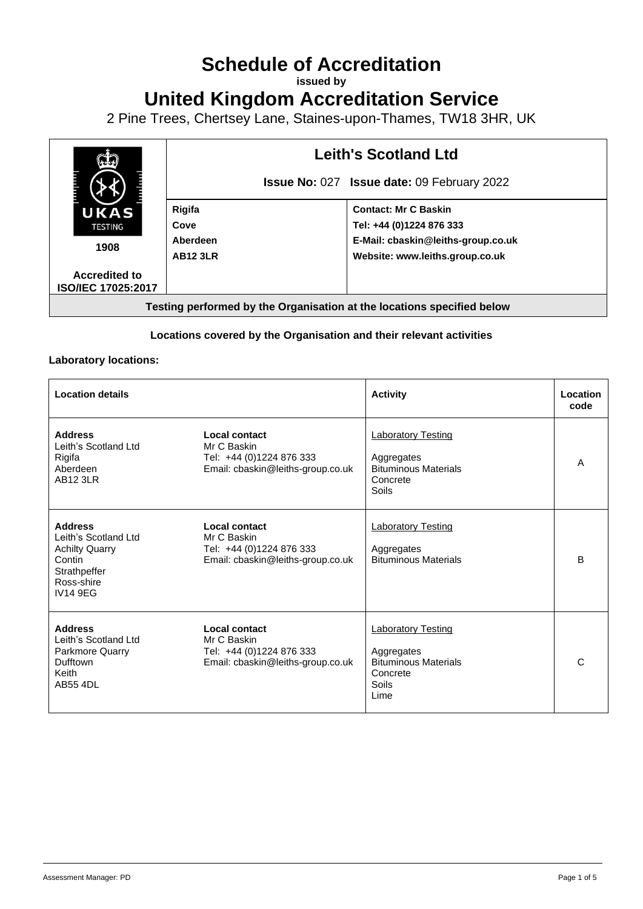# **Schedule of Accreditation**

**issued by**

# **United Kingdom Accreditation Service**

2 Pine Trees, Chertsey Lane, Staines-upon-Thames, TW18 3HR, UK



#### **Locations covered by the Organisation and their relevant activities**

#### **Laboratory locations:**

| <b>Location details</b>                                                                                                    |                                                                                                      | <b>Activity</b>                                                                                     | Location<br>code |
|----------------------------------------------------------------------------------------------------------------------------|------------------------------------------------------------------------------------------------------|-----------------------------------------------------------------------------------------------------|------------------|
| <b>Address</b><br>Leith's Scotland Ltd<br>Rigifa<br>Aberdeen<br><b>AB12 3LR</b>                                            | Local contact<br>Mr C Baskin<br>Tel: +44 (0)1224 876 333<br>Email: cbaskin@leiths-group.co.uk        | <b>Laboratory Testing</b><br>Aggregates<br><b>Bituminous Materials</b><br>Concrete<br><b>Soils</b>  | A                |
| <b>Address</b><br>Leith's Scotland Ltd<br><b>Achilty Quarry</b><br>Contin<br>Strathpeffer<br>Ross-shire<br><b>IV14 9EG</b> | Local contact<br>Mr C Baskin<br>Tel: +44 (0)1224 876 333<br>Email: cbaskin@leiths-group.co.uk        | <b>Laboratory Testing</b><br>Aggregates<br><b>Bituminous Materials</b>                              | B                |
| <b>Address</b><br>Leith's Scotland Ltd<br>Parkmore Quarry<br>Dufftown<br>Keith<br><b>AB55 4DL</b>                          | <b>Local contact</b><br>Mr C Baskin<br>Tel: +44 (0)1224 876 333<br>Email: cbaskin@leiths-group.co.uk | <b>Laboratory Testing</b><br>Aggregates<br><b>Bituminous Materials</b><br>Concrete<br>Soils<br>Lime | C                |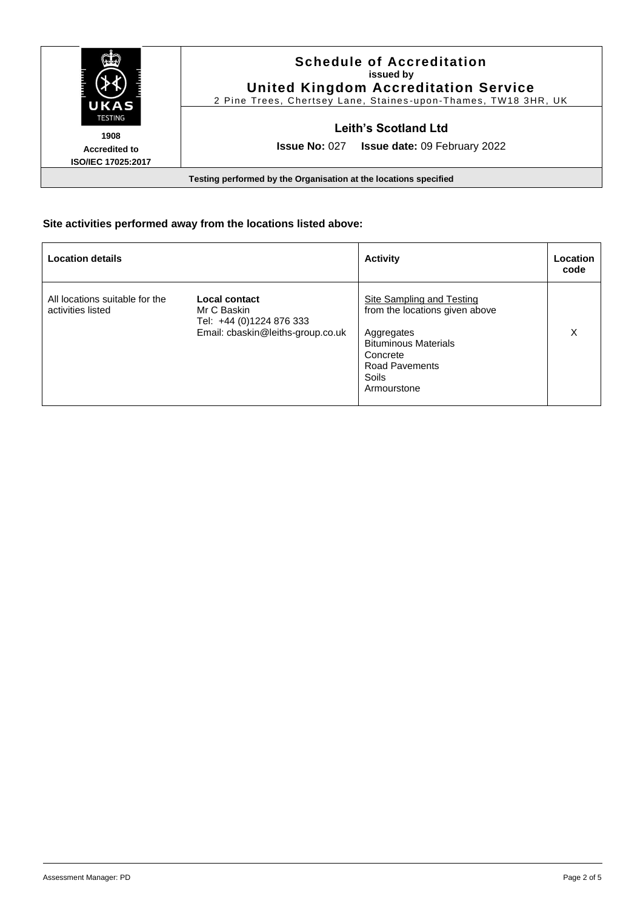| UKAS<br>TESTING<br>1908                    | <b>Schedule of Accreditation</b><br>issued by<br><b>United Kingdom Accreditation Service</b><br>2 Pine Trees, Chertsey Lane, Staines-upon-Thames, TW18 3HR, UK |
|--------------------------------------------|----------------------------------------------------------------------------------------------------------------------------------------------------------------|
|                                            | Leith's Scotland Ltd<br><b>Issue No: 027</b><br><b>Issue date: 09 February 2022</b>                                                                            |
| <b>Accredited to</b><br>ISO/IEC 17025:2017 | Testing performed by the Organisation at the locations specified                                                                                               |

# **Site activities performed away from the locations listed above:**

| <b>Location details</b>                             |                                                                                               | <b>Activity</b>                                                                                                                                                              | Location<br>code |
|-----------------------------------------------------|-----------------------------------------------------------------------------------------------|------------------------------------------------------------------------------------------------------------------------------------------------------------------------------|------------------|
| All locations suitable for the<br>activities listed | Local contact<br>Mr C Baskin<br>Tel: +44 (0)1224 876 333<br>Email: cbaskin@leiths-group.co.uk | <b>Site Sampling and Testing</b><br>from the locations given above<br>Aggregates<br><b>Bituminous Materials</b><br>Concrete<br><b>Road Pavements</b><br>Soils<br>Armourstone | х                |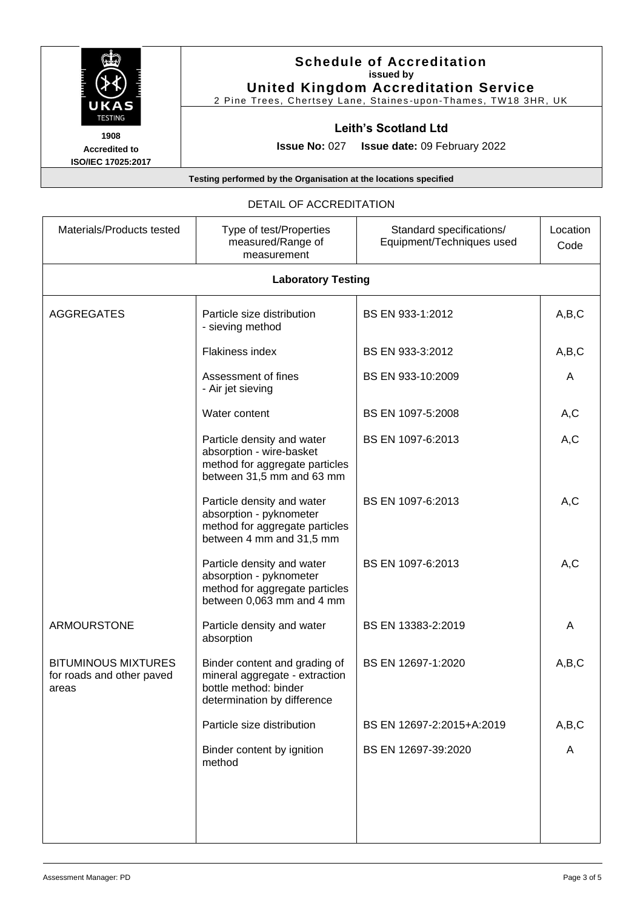

### **Schedule of Accreditation issued by United Kingdom Accreditation Service**

2 Pine Trees, Chertsey Lane, Staines -upon -Thames, TW18 3HR, UK

# **Leith's Scotland Ltd**

**Issue No:** 027 **Issue date:** 09 February 2022

**Testing performed by the Organisation at the locations specified**

#### DETAIL OF ACCREDITATION

| Materials/Products tested                                        | Type of test/Properties<br>measured/Range of<br>measurement                                                             | Standard specifications/<br>Equipment/Techniques used | Location<br>Code |
|------------------------------------------------------------------|-------------------------------------------------------------------------------------------------------------------------|-------------------------------------------------------|------------------|
| <b>Laboratory Testing</b>                                        |                                                                                                                         |                                                       |                  |
| <b>AGGREGATES</b>                                                | Particle size distribution<br>- sieving method                                                                          | BS EN 933-1:2012                                      | A,B,C            |
|                                                                  | Flakiness index                                                                                                         | BS EN 933-3:2012                                      | A,B,C            |
|                                                                  | Assessment of fines<br>- Air jet sieving                                                                                | BS EN 933-10:2009                                     | A                |
|                                                                  | Water content                                                                                                           | BS EN 1097-5:2008                                     | A,C              |
|                                                                  | Particle density and water<br>absorption - wire-basket<br>method for aggregate particles<br>between 31,5 mm and 63 mm   | BS EN 1097-6:2013                                     | A,C              |
|                                                                  | Particle density and water<br>absorption - pyknometer<br>method for aggregate particles<br>between 4 mm and 31,5 mm     | BS EN 1097-6:2013                                     | A, C             |
|                                                                  | Particle density and water<br>absorption - pyknometer<br>method for aggregate particles<br>between 0,063 mm and 4 mm    | BS EN 1097-6:2013                                     | A, C             |
| <b>ARMOURSTONE</b>                                               | Particle density and water<br>absorption                                                                                | BS EN 13383-2:2019                                    | A                |
| <b>BITUMINOUS MIXTURES</b><br>for roads and other paved<br>areas | Binder content and grading of<br>mineral aggregate - extraction<br>bottle method: binder<br>determination by difference | BS EN 12697-1:2020                                    | A,B,C            |
|                                                                  | Particle size distribution                                                                                              | BS EN 12697-2:2015+A:2019                             | A,B,C            |
|                                                                  | Binder content by ignition<br>method                                                                                    | BS EN 12697-39:2020                                   | A                |
|                                                                  |                                                                                                                         |                                                       |                  |

**1908 Accredited to ISO/IEC 17025:2017**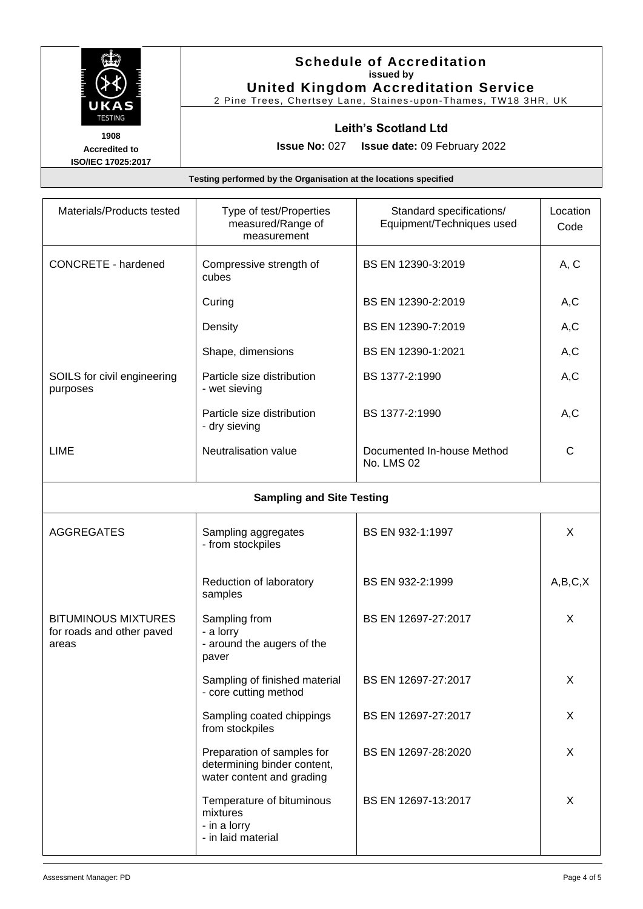

### **Schedule of Accreditation issued by United Kingdom Accreditation Service**

2 Pine Trees, Chertsey Lane, Staines -upon -Thames, TW18 3HR, UK

# **Leith's Scotland Ltd**

**1908 Accredited to ISO/IEC 17025:2017**

**Issue No:** 027 **Issue date:** 09 February 2022

**Testing performed by the Organisation at the locations specified**

| Materials/Products tested                                        | Type of test/Properties<br>measured/Range of<br>measurement                            | Standard specifications/<br>Equipment/Techniques used | Location<br>Code |
|------------------------------------------------------------------|----------------------------------------------------------------------------------------|-------------------------------------------------------|------------------|
| <b>CONCRETE - hardened</b>                                       | Compressive strength of<br>cubes                                                       | BS EN 12390-3:2019                                    | A, C             |
|                                                                  | Curing                                                                                 | BS EN 12390-2:2019                                    | A, C             |
|                                                                  | Density                                                                                | BS EN 12390-7:2019                                    | A,C              |
|                                                                  | Shape, dimensions                                                                      | BS EN 12390-1:2021                                    | A,C              |
| SOILS for civil engineering<br>purposes                          | Particle size distribution<br>- wet sieving                                            | BS 1377-2:1990                                        | A,C              |
|                                                                  | Particle size distribution<br>- dry sieving                                            | BS 1377-2:1990                                        | A, C             |
| <b>LIME</b>                                                      | Neutralisation value                                                                   | Documented In-house Method<br>No. LMS 02              | С                |
| <b>Sampling and Site Testing</b>                                 |                                                                                        |                                                       |                  |
| <b>AGGREGATES</b>                                                | Sampling aggregates<br>- from stockpiles                                               | BS EN 932-1:1997                                      | X                |
|                                                                  | Reduction of laboratory<br>samples                                                     | BS EN 932-2:1999                                      | A,B,C,X          |
| <b>BITUMINOUS MIXTURES</b><br>for roads and other paved<br>areas | Sampling from<br>- a lorry<br>- around the augers of the<br>paver                      | BS EN 12697-27:2017                                   | X                |
|                                                                  | Sampling of finished material<br>- core cutting method                                 | BS EN 12697-27:2017                                   | Χ                |
|                                                                  | Sampling coated chippings<br>from stockpiles                                           | BS EN 12697-27:2017                                   | X                |
|                                                                  | Preparation of samples for<br>determining binder content,<br>water content and grading | BS EN 12697-28:2020                                   | X                |
|                                                                  | Temperature of bituminous<br>mixtures<br>- in a lorry<br>- in laid material            | BS EN 12697-13:2017                                   | X                |